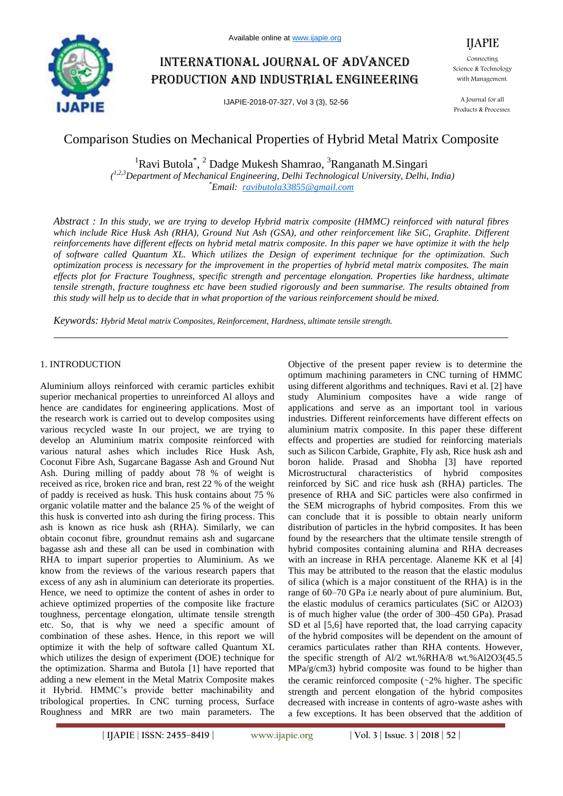

# International journal of advanced production and industrial engineering

IJAPIE-2018-07-327, Vol 3 (3), 52-56

IJAPIE Connecting Science & Technology with Management.

A Journal for all Products & Processes.

## Comparison Studies on Mechanical Properties of Hybrid Metal Matrix Composite

 ${}^{1}$ Ravi Butola<sup>\*</sup>, <sup>2</sup> Dadge Mukesh Shamrao, <sup>3</sup>Ranganath M.Singari *( 1,2,3Department of Mechanical Engineering, Delhi Technological University, Delhi, India) \*Email: ravibutola33855@gmail.com*

*Abstract : In this study, we are trying to develop Hybrid matrix composite (HMMC) reinforced with natural fibres which include Rice Husk Ash (RHA), Ground Nut Ash (GSA), and other reinforcement like SiC, Graphite. Different reinforcements have different effects on hybrid metal matrix composite. In this paper we have optimize it with the help of software called Quantum XL. Which utilizes the Design of experiment technique for the optimization. Such optimization process is necessary for the improvement in the properties of hybrid metal matrix composites. The main effects plot for Fracture Toughness, specific strength and percentage elongation. Properties like hardness, ultimate tensile strength, fracture toughness etc have been studied rigorously and been summarise. The results obtained from this study will help us to decide that in what proportion of the various reinforcement should be mixed.*

*Keywords: Hybrid Metal matrix Composites, Reinforcement, Hardness, ultimate tensile strength.*

## 1. INTRODUCTION

Aluminium alloys reinforced with ceramic particles exhibit superior mechanical properties to unreinforced Al alloys and hence are candidates for engineering applications. Most of the research work is carried out to develop composites using various recycled waste In our project, we are trying to develop an Aluminium matrix composite reinforced with various natural ashes which includes Rice Husk Ash, Coconut Fibre Ash, Sugarcane Bagasse Ash and Ground Nut Ash. During milling of paddy about 78 % of weight is received as rice, broken rice and bran, rest 22 % of the weight of paddy is received as husk. This husk contains about 75 % organic volatile matter and the balance 25 % of the weight of this husk is converted into ash during the firing process. This ash is known as rice husk ash (RHA). Similarly, we can obtain coconut fibre, groundnut remains ash and sugarcane bagasse ash and these all can be used in combination with RHA to impart superior properties to Aluminium. As we know from the reviews of the various research papers that excess of any ash in aluminium can deteriorate its properties. Hence, we need to optimize the content of ashes in order to achieve optimized properties of the composite like fracture toughness, percentage elongation, ultimate tensile strength etc. So, that is why we need a specific amount of combination of these ashes. Hence, in this report we will optimize it with the help of software called Quantum XL which utilizes the design of experiment (DOE) technique for the optimization. Sharma and Butola [1] have reported that adding a new element in the Metal Matrix Composite makes it Hybrid. HMMC's provide better machinability and tribological properties. In CNC turning process, Surface Roughness and MRR are two main parameters. The Objective of the present paper review is to determine the optimum machining parameters in CNC turning of HMMC using different algorithms and techniques. Ravi et al. [2] have study Aluminium composites have a wide range of applications and serve as an important tool in various industries. Different reinforcements have different effects on aluminium matrix composite. In this paper these different effects and properties are studied for reinforcing materials such as Silicon Carbide, Graphite, Fly ash, Rice husk ash and boron halide. Prasad and Shobha [3] have reported Microstructural characteristics of hybrid composites reinforced by SiC and rice husk ash (RHA) particles. The presence of RHA and SiC particles were also confirmed in the SEM micrographs of hybrid composites. From this we can conclude that it is possible to obtain nearly uniform distribution of particles in the hybrid composites. It has been found by the researchers that the ultimate tensile strength of hybrid composites containing alumina and RHA decreases with an increase in RHA percentage. Alaneme KK et al [4] This may be attributed to the reason that the elastic modulus of silica (which is a major constituent of the RHA) is in the range of 60–70 GPa i.e nearly about of pure aluminium. But, the elastic modulus of ceramics particulates (SiC or Al2O3) is of much higher value (the order of 300–450 GPa). Prasad SD et al [5,6] have reported that, the load carrying capacity of the hybrid composites will be dependent on the amount of ceramics particulates rather than RHA contents. However, the specific strength of Al/2 wt.%RHA/8 wt.%Al2O3(45.5 MPa/g/cm3) hybrid composite was found to be higher than the ceramic reinforced composite (∼2% higher. The specific strength and percent elongation of the hybrid composites decreased with increase in contents of agro-waste ashes with a few exceptions. It has been observed that the addition of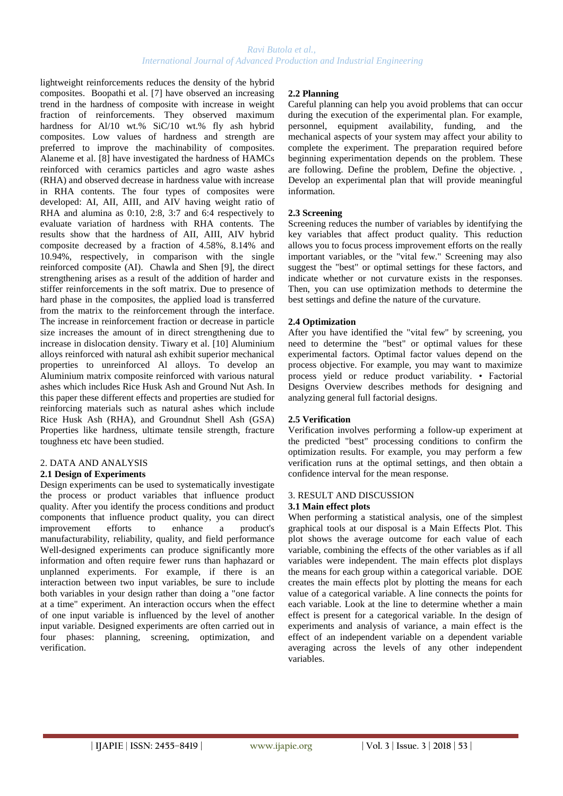lightweight reinforcements reduces the density of the hybrid composites. Boopathi et al. [7] have observed an increasing trend in the hardness of composite with increase in weight fraction of reinforcements. They observed maximum hardness for Al/10 wt.% SiC/10 wt.% fly ash hybrid composites. Low values of hardness and strength are preferred to improve the machinability of composites. Alaneme et al. [8] have investigated the hardness of HAMCs reinforced with ceramics particles and agro waste ashes (RHA) and observed decrease in hardness value with increase in RHA contents. The four types of composites were developed: AI, AII, AIII, and AIV having weight ratio of RHA and alumina as 0:10, 2:8, 3:7 and 6:4 respectively to evaluate variation of hardness with RHA contents. The results show that the hardness of AII, AIII, AIV hybrid composite decreased by a fraction of 4.58%, 8.14% and 10.94%, respectively, in comparison with the single reinforced composite (AI). Chawla and Shen [9], the direct strengthening arises as a result of the addition of harder and stiffer reinforcements in the soft matrix. Due to presence of hard phase in the composites, the applied load is transferred from the matrix to the reinforcement through the interface. The increase in reinforcement fraction or decrease in particle size increases the amount of in direct strengthening due to increase in dislocation density. Tiwary et al. [10] Aluminium alloys reinforced with natural ash exhibit superior mechanical properties to unreinforced Al alloys. To develop an Aluminium matrix composite reinforced with various natural ashes which includes Rice Husk Ash and Ground Nut Ash. In this paper these different effects and properties are studied for reinforcing materials such as natural ashes which include Rice Husk Ash (RHA), and Groundnut Shell Ash (GSA) Properties like hardness, ultimate tensile strength, fracture toughness etc have been studied.

#### 2. DATA AND ANALYSIS **2.1 Design of Experiments**

## Design experiments can be used to systematically investigate the process or product variables that influence product quality. After you identify the process conditions and product components that influence product quality, you can direct improvement efforts to enhance a product's manufacturability, reliability, quality, and field performance Well-designed experiments can produce significantly more information and often require fewer runs than haphazard or

unplanned experiments. For example, if there is an interaction between two input variables, be sure to include both variables in your design rather than doing a "one factor at a time" experiment. An interaction occurs when the effect of one input variable is influenced by the level of another input variable. Designed experiments are often carried out in four phases: planning, screening, optimization, and verification.

## **2.2 Planning**

Careful planning can help you avoid problems that can occur during the execution of the experimental plan. For example, personnel, equipment availability, funding, and the mechanical aspects of your system may affect your ability to complete the experiment. The preparation required before beginning experimentation depends on the problem. These are following. Define the problem, Define the objective. , Develop an experimental plan that will provide meaningful information.

## **2.3 Screening**

Screening reduces the number of variables by identifying the key variables that affect product quality. This reduction allows you to focus process improvement efforts on the really important variables, or the "vital few." Screening may also suggest the "best" or optimal settings for these factors, and indicate whether or not curvature exists in the responses. Then, you can use optimization methods to determine the best settings and define the nature of the curvature.

## **2.4 Optimization**

After you have identified the "vital few" by screening, you need to determine the "best" or optimal values for these experimental factors. Optimal factor values depend on the process objective. For example, you may want to maximize process yield or reduce product variability. • Factorial Designs Overview describes methods for designing and analyzing general full factorial designs.

## **2.5 Verification**

Verification involves performing a follow-up experiment at the predicted "best" processing conditions to confirm the optimization results. For example, you may perform a few verification runs at the optimal settings, and then obtain a confidence interval for the mean response.

#### 3. RESULT AND DISCUSSION

#### **3.1 Main effect plots**

When performing a statistical analysis, one of the simplest graphical tools at our disposal is a Main Effects Plot. This plot shows the average outcome for each value of each variable, combining the effects of the other variables as if all variables were independent. The main effects plot displays the means for each group within a categorical variable. DOE creates the main effects plot by plotting the means for each value of a categorical variable. A line connects the points for each variable. Look at the line to determine whether a main effect is present for a categorical variable. In the design of experiments and analysis of variance, a main effect is the effect of an independent variable on a dependent variable averaging across the levels of any other independent variables.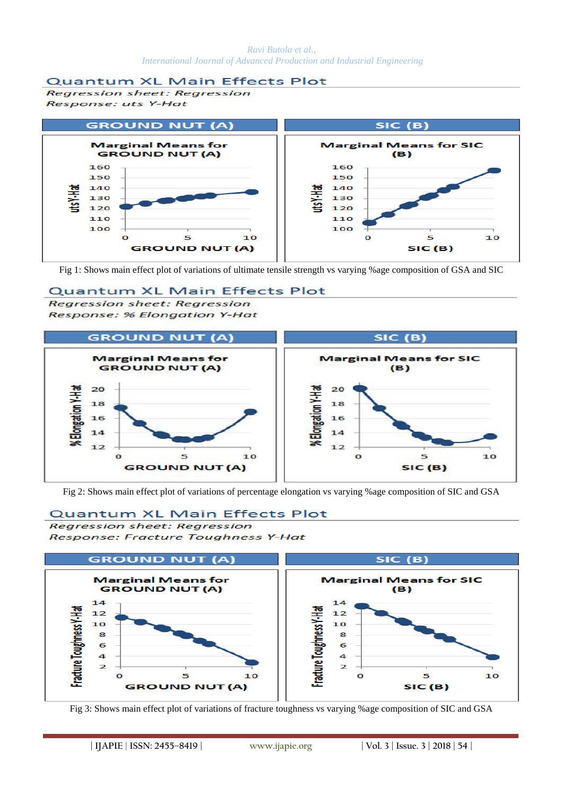## **Quantum XL Main Effects Plot**

**Regression sheet: Regression** Response: uts Y-Hat



Fig 1: Shows main effect plot of variations of ultimate tensile strength vs varying %age composition of GSA and SIC

## **Quantum XL Main Effects Plot**

**Regression sheet: Regression Response: % Elongation Y-Hat** 



Fig 2: Shows main effect plot of variations of percentage elongation vs varying %age composition of SIC and GSA

## **Quantum XL Main Effects Plot**

**Rearession sheet: Rearession** Response: Fracture Toughness Y-Hat



Fig 3: Shows main effect plot of variations of fracture toughness vs varying %age composition of SIC and GSA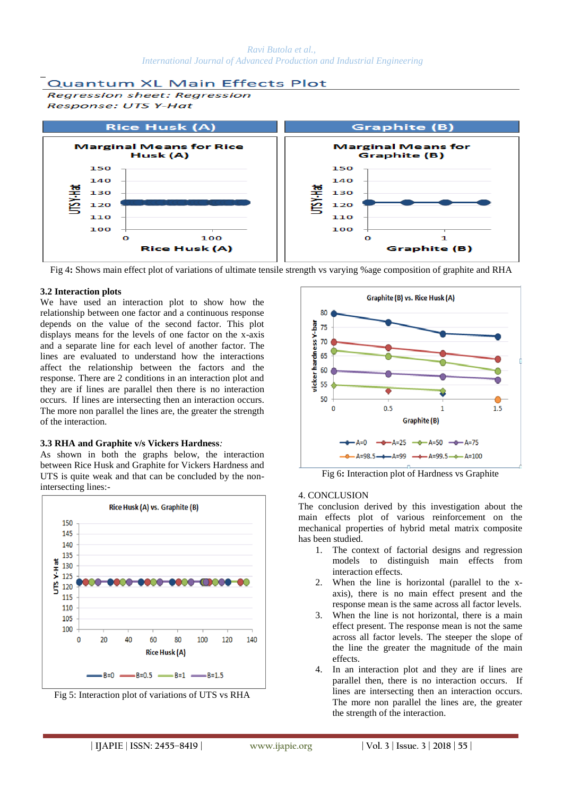

Fig 4**:** Shows main effect plot of variations of ultimate tensile strength vs varying %age composition of graphite and RHA

## **3.2 Interaction plots**

We have used an interaction plot to show how the relationship between one factor and a continuous response depends on the value of the second factor. This plot displays means for the levels of one factor on the x-axis and a separate line for each level of another factor. The lines are evaluated to understand how the interactions affect the relationship between the factors and the response. There are 2 conditions in an interaction plot and they are if lines are parallel then there is no interaction occurs. If lines are intersecting then an interaction occurs. The more non parallel the lines are, the greater the strength of the interaction.

#### **3.3 RHA and Graphite v/s Vickers Hardness***:*

As shown in both the graphs below, the interaction between Rice Husk and Graphite for Vickers Hardness and UTS is quite weak and that can be concluded by the nonintersecting lines:-







Fig 6**:** Interaction plot of Hardness vs Graphite

#### 4. CONCLUSION

The conclusion derived by this investigation about the main effects plot of various reinforcement on the mechanical properties of hybrid metal matrix composite has been studied.

- 1. The context of factorial designs and regression models to distinguish main effects from interaction effects.
- 2. When the line is horizontal (parallel to the xaxis), there is no main effect present and the response mean is the same across all factor levels.
- 3. When the line is not horizontal, there is a main effect present. The response mean is not the same across all factor levels. The steeper the slope of the line the greater the magnitude of the main effects.
- 4. In an interaction plot and they are if lines are parallel then, there is no interaction occurs. If lines are intersecting then an interaction occurs. The more non parallel the lines are, the greater the strength of the interaction.